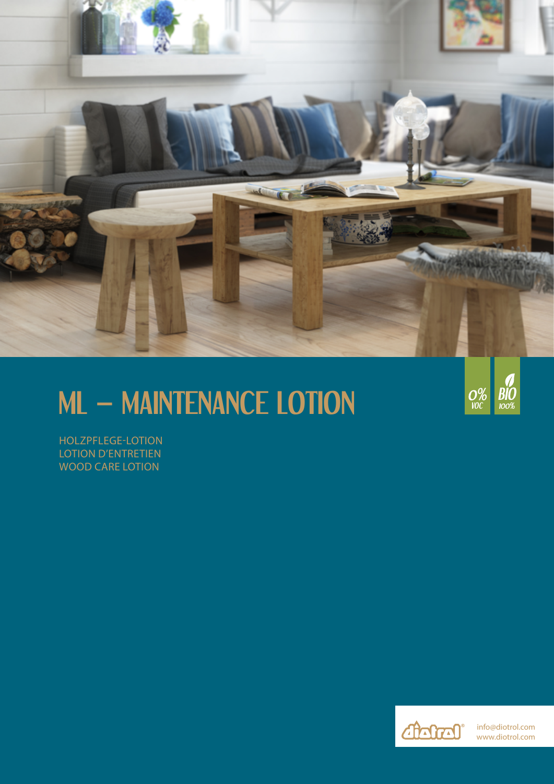

# **ML – MAINTENANCE LOTION**



HOLZPFLEGE-LOTION LOTION D'ENTRETIEN WOOD CARE LOTION